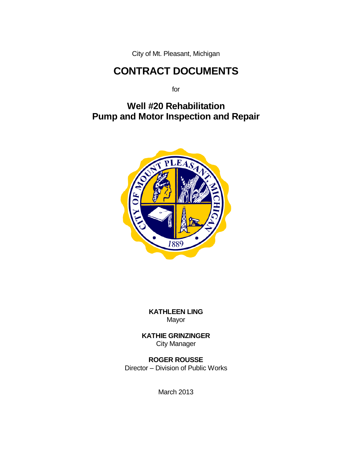City of Mt. Pleasant, Michigan

# **CONTRACT DOCUMENTS**

for

## **Well #20 Rehabilitation Pump and Motor Inspection and Repair**



**KATHLEEN LING** Mayor

**KATHIE GRINZINGER** City Manager

**ROGER ROUSSE** Director – Division of Public Works

March 2013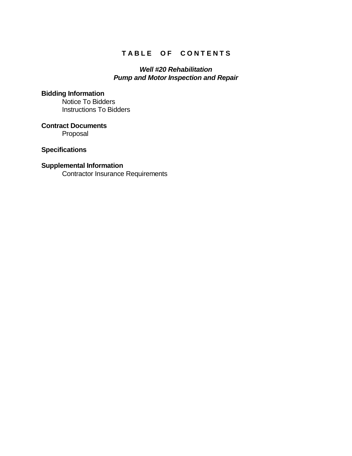## TABLE OF CONTENTS

#### *Well #20 Rehabilitation Pump and Motor Inspection and Repair*

#### **Bidding Information**

Notice To Bidders Instructions To Bidders

**Contract Documents** Proposal

#### **Specifications**

#### **Supplemental Information**

Contractor Insurance Requirements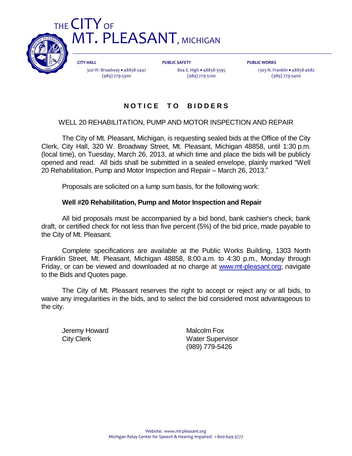

*CITY HALL* 320 W. Broadway • 48858-2447 (989) 779-5300

*PUBLIC SAFETY* 804 E. High • 48858-3595 (989) 779-5100

*PUBLIC WORKS*

1303 N. Franklin · 48858-4682 (989) 779-5400

### **N O T I C E T O B I D D E R S**

#### WELL 20 REHABILITATION, PUMP AND MOTOR INSPECTION AND REPAIR

The City of Mt. Pleasant, Michigan, is requesting sealed bids at the Office of the City Clerk, City Hall, 320 W. Broadway Street, Mt. Pleasant, Michigan 48858, until 1:30 p.m. (local time), on Tuesday, March 26, 2013, at which time and place the bids will be publicly opened and read. All bids shall be submitted in a sealed envelope, plainly marked "Well 20 Rehabilitation, Pump and Motor Inspection and Repair – March 26, 2013."

Proposals are solicited on a lump sum basis, for the following work:

#### **Well #20 Rehabilitation, Pump and Motor Inspection and Repair**

All bid proposals must be accompanied by a bid bond, bank cashier's check, bank draft, or certified check for not less than five percent (5%) of the bid price, made payable to the City of Mt. Pleasant.

Complete specifications are available at the Public Works Building, 1303 North Franklin Street, Mt. Pleasant, Michigan 48858, 8:00 a.m. to 4:30 p.m., Monday through Friday, or can be viewed and downloaded at no charge at [www.mt-pleasant.org;](http://www.mt-pleasant.org/) navigate to the Bids and Quotes page.

The City of Mt. Pleasant reserves the right to accept or reject any or all bids, to waive any irregularities in the bids, and to select the bid considered most advantageous to the city.

Jeremy Howard **Malcolm Fox** 

City Clerk **Water Supervisor** (989) 779-5426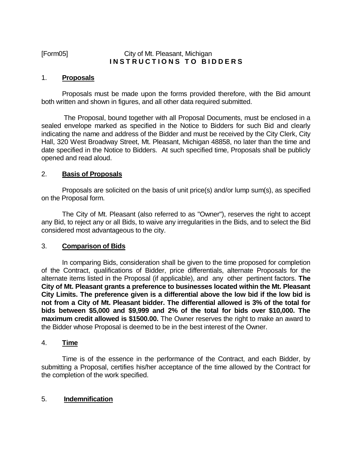#### [Form05] City of Mt. Pleasant, Michigan **INSTRUCTIONS TO BIDDERS**

#### 1. **Proposals**

Proposals must be made upon the forms provided therefore, with the Bid amount both written and shown in figures, and all other data required submitted.

The Proposal, bound together with all Proposal Documents, must be enclosed in a sealed envelope marked as specified in the Notice to Bidders for such Bid and clearly indicating the name and address of the Bidder and must be received by the City Clerk, City Hall, 320 West Broadway Street, Mt. Pleasant, Michigan 48858, no later than the time and date specified in the Notice to Bidders. At such specified time, Proposals shall be publicly opened and read aloud.

#### 2. **Basis of Proposals**

Proposals are solicited on the basis of unit price(s) and/or lump sum(s), as specified on the Proposal form.

The City of Mt. Pleasant (also referred to as "Owner"), reserves the right to accept any Bid, to reject any or all Bids, to waive any irregularities in the Bids, and to select the Bid considered most advantageous to the city.

#### 3. **Comparison of Bids**

In comparing Bids, consideration shall be given to the time proposed for completion of the Contract, qualifications of Bidder, price differentials, alternate Proposals for the alternate items listed in the Proposal (if applicable), and any other pertinent factors. **The City of Mt. Pleasant grants a preference to businesses located within the Mt. Pleasant City Limits. The preference given is a differential above the low bid if the low bid is not from a City of Mt. Pleasant bidder. The differential allowed is 3% of the total for bids between \$5,000 and \$9,999 and 2% of the total for bids over \$10,000. The maximum credit allowed is \$1500.00.** The Owner reserves the right to make an award to the Bidder whose Proposal is deemed to be in the best interest of the Owner.

#### 4. **Time**

Time is of the essence in the performance of the Contract, and each Bidder, by submitting a Proposal, certifies his/her acceptance of the time allowed by the Contract for the completion of the work specified.

#### 5. **Indemnification**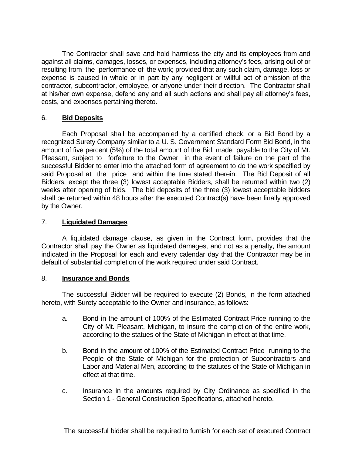The Contractor shall save and hold harmless the city and its employees from and against all claims, damages, losses, or expenses, including attorney's fees, arising out of or resulting from the performance of the work; provided that any such claim, damage, loss or expense is caused in whole or in part by any negligent or willful act of omission of the contractor, subcontractor, employee, or anyone under their direction. The Contractor shall at his/her own expense, defend any and all such actions and shall pay all attorney's fees, costs, and expenses pertaining thereto.

#### 6. **Bid Deposits**

Each Proposal shall be accompanied by a certified check, or a Bid Bond by a recognized Surety Company similar to a U. S. Government Standard Form Bid Bond, in the amount of five percent (5%) of the total amount of the Bid, made payable to the City of Mt. Pleasant, subject to forfeiture to the Owner in the event of failure on the part of the successful Bidder to enter into the attached form of agreement to do the work specified by said Proposal at the price and within the time stated therein. The Bid Deposit of all Bidders, except the three (3) lowest acceptable Bidders, shall be returned within two (2) weeks after opening of bids. The bid deposits of the three (3) lowest acceptable bidders shall be returned within 48 hours after the executed Contract(s) have been finally approved by the Owner.

#### 7. **Liquidated Damages**

A liquidated damage clause, as given in the Contract form, provides that the Contractor shall pay the Owner as liquidated damages, and not as a penalty, the amount indicated in the Proposal for each and every calendar day that the Contractor may be in default of substantial completion of the work required under said Contract.

#### 8. **Insurance and Bonds**

The successful Bidder will be required to execute (2) Bonds, in the form attached hereto, with Surety acceptable to the Owner and insurance, as follows:

- a. Bond in the amount of 100% of the Estimated Contract Price running to the City of Mt. Pleasant, Michigan, to insure the completion of the entire work, according to the statues of the State of Michigan in effect at that time.
- b. Bond in the amount of 100% of the Estimated Contract Price running to the People of the State of Michigan for the protection of Subcontractors and Labor and Material Men, according to the statutes of the State of Michigan in effect at that time.
- c. Insurance in the amounts required by City Ordinance as specified in the Section 1 - General Construction Specifications, attached hereto.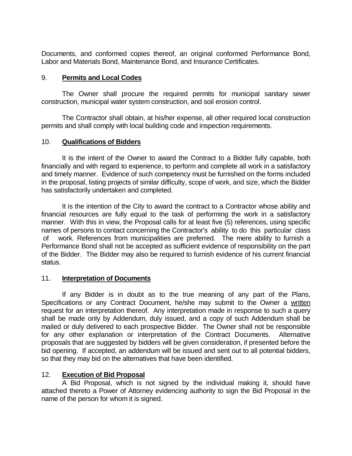Documents, and conformed copies thereof, an original conformed Performance Bond, Labor and Materials Bond, Maintenance Bond, and Insurance Certificates.

#### 9. **Permits and Local Codes**

The Owner shall procure the required permits for municipal sanitary sewer construction, municipal water system construction, and soil erosion control.

The Contractor shall obtain, at his/her expense, all other required local construction permits and shall comply with local building code and inspection requirements.

#### 10. **Qualifications of Bidders**

It is the intent of the Owner to award the Contract to a Bidder fully capable, both financially and with regard to experience, to perform and complete all work in a satisfactory and timely manner. Evidence of such competency must be furnished on the forms included in the proposal, listing projects of similar difficulty, scope of work, and size, which the Bidder has satisfactorily undertaken and completed.

It is the intention of the City to award the contract to a Contractor whose ability and financial resources are fully equal to the task of performing the work in a satisfactory manner. With this in view, the Proposal calls for at least five (5) references, using specific names of persons to contact concerning the Contractor's ability to do this particular class of work. References from municipalities are preferred. The mere ability to furnish a Performance Bond shall not be accepted as sufficient evidence of responsibility on the part of the Bidder. The Bidder may also be required to furnish evidence of his current financial status.

#### 11. **Interpretation of Documents**

If any Bidder is in doubt as to the true meaning of any part of the Plans, Specifications or any Contract Document, he/she may submit to the Owner a written request for an interpretation thereof. Any interpretation made in response to such a query shall be made only by Addendum, duly issued, and a copy of such Addendum shall be mailed or duly delivered to each prospective Bidder. The Owner shall not be responsible for any other explanation or interpretation of the Contract Documents. Alternative proposals that are suggested by bidders will be given consideration, if presented before the bid opening. If accepted, an addendum will be issued and sent out to all potential bidders, so that they may bid on the alternatives that have been identified.

#### 12. **Execution of Bid Proposal**

A Bid Proposal, which is not signed by the individual making it, should have attached thereto a Power of Attorney evidencing authority to sign the Bid Proposal in the name of the person for whom it is signed.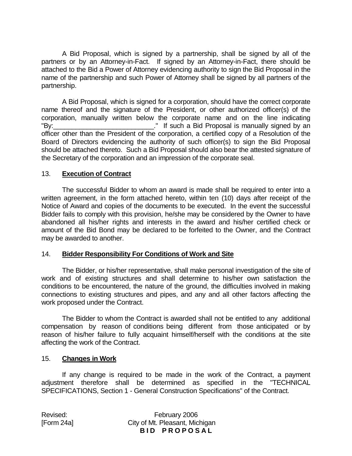A Bid Proposal, which is signed by a partnership, shall be signed by all of the partners or by an Attorney-in-Fact. If signed by an Attorney-in-Fact, there should be attached to the Bid a Power of Attorney evidencing authority to sign the Bid Proposal in the name of the partnership and such Power of Attorney shall be signed by all partners of the partnership.

A Bid Proposal, which is signed for a corporation, should have the correct corporate name thereof and the signature of the President, or other authorized officer(s) of the corporation, manually written below the corporate name and on the line indicating "By: <u>Conservation of the substitute of the substitute</u> of the substitute of the substitute of the substitute of the substitute of the substitute of the substitute of the substitute of the substitute of the substitute of t officer other than the President of the corporation, a certified copy of a Resolution of the Board of Directors evidencing the authority of such officer(s) to sign the Bid Proposal should be attached thereto. Such a Bid Proposal should also bear the attested signature of the Secretary of the corporation and an impression of the corporate seal.

#### 13. **Execution of Contract**

The successful Bidder to whom an award is made shall be required to enter into a written agreement, in the form attached hereto, within ten (10) days after receipt of the Notice of Award and copies of the documents to be executed. In the event the successful Bidder fails to comply with this provision, he/she may be considered by the Owner to have abandoned all his/her rights and interests in the award and his/her certified check or amount of the Bid Bond may be declared to be forfeited to the Owner, and the Contract may be awarded to another.

#### 14. **Bidder Responsibility For Conditions of Work and Site**

The Bidder, or his/her representative, shall make personal investigation of the site of work and of existing structures and shall determine to his/her own satisfaction the conditions to be encountered, the nature of the ground, the difficulties involved in making connections to existing structures and pipes, and any and all other factors affecting the work proposed under the Contract.

The Bidder to whom the Contract is awarded shall not be entitled to any additional compensation by reason of conditions being different from those anticipated or by reason of his/her failure to fully acquaint himself/herself with the conditions at the site affecting the work of the Contract.

#### 15. **Changes in Work**

If any change is required to be made in the work of the Contract, a payment adjustment therefore shall be determined as specified in the "TECHNICAL SPECIFICATIONS, Section 1 - General Construction Specifications" of the Contract.

Revised: February 2006 [Form 24a] City of Mt. Pleasant, Michigan **BID PROPOSAL**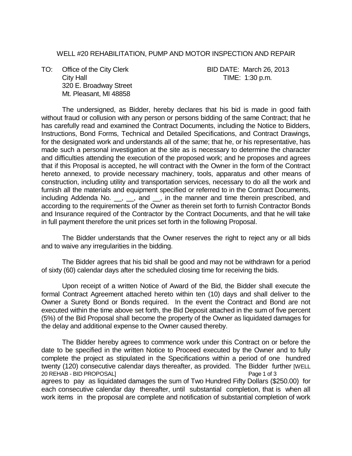#### WELL #20 REHABILITATION, PUMP AND MOTOR INSPECTION AND REPAIR

TO: Office of the City Clerk BID DATE: March 26, 2013 City Hall City Hall City Hall City Hall City Hall City Hall City Hall City Hall City Hall City Hall City Hall City Hall City Hall City Hall City Hall City Hall City Hall City Hall City Hall City Hall City Hall City Hall Ci 320 E. Broadway Street Mt. Pleasant, MI 48858

The undersigned, as Bidder, hereby declares that his bid is made in good faith without fraud or collusion with any person or persons bidding of the same Contract; that he has carefully read and examined the Contract Documents, including the Notice to Bidders, Instructions, Bond Forms, Technical and Detailed Specifications, and Contract Drawings, for the designated work and understands all of the same; that he, or his representative, has made such a personal investigation at the site as is necessary to determine the character and difficulties attending the execution of the proposed work; and he proposes and agrees that if this Proposal is accepted, he will contract with the Owner in the form of the Contract hereto annexed, to provide necessary machinery, tools, apparatus and other means of construction, including utility and transportation services, necessary to do all the work and furnish all the materials and equipment specified or referred to in the Contract Documents, including Addenda No. \_, \_, and \_, in the manner and time therein prescribed, and according to the requirements of the Owner as therein set forth to furnish Contractor Bonds and Insurance required of the Contractor by the Contract Documents, and that he will take in full payment therefore the unit prices set forth in the following Proposal.

The Bidder understands that the Owner reserves the right to reject any or all bids and to waive any irregularities in the bidding.

The Bidder agrees that his bid shall be good and may not be withdrawn for a period of sixty (60) calendar days after the scheduled closing time for receiving the bids.

Upon receipt of a written Notice of Award of the Bid, the Bidder shall execute the formal Contract Agreement attached hereto within ten (10) days and shall deliver to the Owner a Surety Bond or Bonds required. In the event the Contract and Bond are not executed within the time above set forth, the Bid Deposit attached in the sum of five percent (5%) of the Bid Proposal shall become the property of the Owner as liquidated damages for the delay and additional expense to the Owner caused thereby.

The Bidder hereby agrees to commence work under this Contract on or before the date to be specified in the written Notice to Proceed executed by the Owner and to fully complete the project as stipulated in the Specifications within a period of one hundred twenty (120) consecutive calendar days thereafter, as provided. The Bidder further [WELL 20 REHAB - BID PROPOSAL] 20 REHAB - BID PROPOSAL] agrees to pay as liquidated damages the sum of Two Hundred Fifty Dollars (\$250.00) for each consecutive calendar day thereafter, until substantial completion, that is when all work items in the proposal are complete and notification of substantial completion of work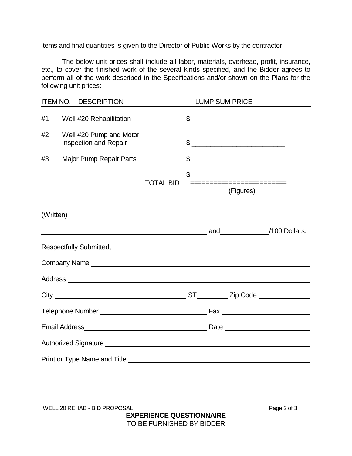items and final quantities is given to the Director of Public Works by the contractor.

The below unit prices shall include all labor, materials, overhead, profit, insurance, etc., to cover the finished work of the several kinds specified, and the Bidder agrees to perform all of the work described in the Specifications and/or shown on the Plans for the following unit prices:

| <b>ITEM NO.</b> | <b>DESCRIPTION</b>                                                                                                                                                                                                             |                  | <b>LUMP SUM PRICE</b> |                                                                                                                                                                                                                                                                                                                     |  |
|-----------------|--------------------------------------------------------------------------------------------------------------------------------------------------------------------------------------------------------------------------------|------------------|-----------------------|---------------------------------------------------------------------------------------------------------------------------------------------------------------------------------------------------------------------------------------------------------------------------------------------------------------------|--|
| #1              | Well #20 Rehabilitation                                                                                                                                                                                                        |                  |                       |                                                                                                                                                                                                                                                                                                                     |  |
| #2              | Well #20 Pump and Motor<br><b>Inspection and Repair</b>                                                                                                                                                                        |                  |                       | $\frac{1}{2}$                                                                                                                                                                                                                                                                                                       |  |
| #3              | <b>Major Pump Repair Parts</b>                                                                                                                                                                                                 |                  |                       | $\frac{1}{2}$ $\frac{1}{2}$ $\frac{1}{2}$ $\frac{1}{2}$ $\frac{1}{2}$ $\frac{1}{2}$ $\frac{1}{2}$ $\frac{1}{2}$ $\frac{1}{2}$ $\frac{1}{2}$ $\frac{1}{2}$ $\frac{1}{2}$ $\frac{1}{2}$ $\frac{1}{2}$ $\frac{1}{2}$ $\frac{1}{2}$ $\frac{1}{2}$ $\frac{1}{2}$ $\frac{1}{2}$ $\frac{1}{2}$ $\frac{1}{2}$ $\frac{1}{2}$ |  |
|                 |                                                                                                                                                                                                                                | <b>TOTAL BID</b> | \$                    | ===========================<br>(Figures)                                                                                                                                                                                                                                                                            |  |
| (Written)       |                                                                                                                                                                                                                                |                  |                       |                                                                                                                                                                                                                                                                                                                     |  |
|                 |                                                                                                                                                                                                                                |                  |                       |                                                                                                                                                                                                                                                                                                                     |  |
|                 | <b>Respectfully Submitted,</b>                                                                                                                                                                                                 |                  |                       |                                                                                                                                                                                                                                                                                                                     |  |
|                 | Company Name experience and the company name of the contract of the contract of the contract of the contract of the contract of the contract of the contract of the contract of the contract of the contract of the contract o |                  |                       |                                                                                                                                                                                                                                                                                                                     |  |
|                 |                                                                                                                                                                                                                                |                  |                       |                                                                                                                                                                                                                                                                                                                     |  |
|                 |                                                                                                                                                                                                                                |                  |                       |                                                                                                                                                                                                                                                                                                                     |  |
|                 |                                                                                                                                                                                                                                |                  |                       |                                                                                                                                                                                                                                                                                                                     |  |
|                 |                                                                                                                                                                                                                                |                  |                       |                                                                                                                                                                                                                                                                                                                     |  |
|                 |                                                                                                                                                                                                                                |                  |                       |                                                                                                                                                                                                                                                                                                                     |  |
|                 |                                                                                                                                                                                                                                |                  |                       |                                                                                                                                                                                                                                                                                                                     |  |

[WELL 20 REHAB - BID PROPOSAL] Page 2 of 3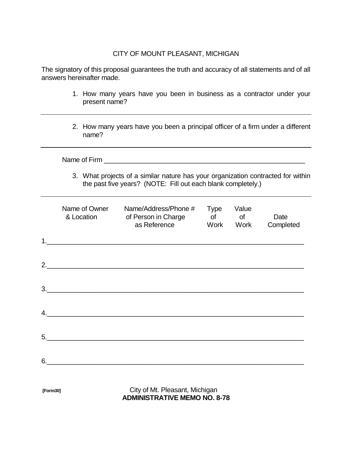#### CITY OF MOUNT PLEASANT, MICHIGAN

The signatory of this proposal guarantees the truth and accuracy of all statements and of all answers hereinafter made.

- 1. How many years have you been in business as a contractor under your present name?
- 2. How many years have you been a principal officer of a firm under a different name?

|    |                             | 3. What projects of a similar nature has your organization contracted for within<br>the past five years? (NOTE: Fill out each blank completely.) |                                |                     |                   |  |  |  |
|----|-----------------------------|--------------------------------------------------------------------------------------------------------------------------------------------------|--------------------------------|---------------------|-------------------|--|--|--|
|    | Name of Owner<br>& Location | Name/Address/Phone #<br>of Person in Charge<br>as Reference                                                                                      | Type<br>of the control<br>Work | Value<br>of<br>Work | Date<br>Completed |  |  |  |
|    |                             | <u> 1989 - Johann Barbara, margaret eta idazlea (h. 1989).</u>                                                                                   |                                |                     |                   |  |  |  |
|    |                             | 2.                                                                                                                                               |                                |                     |                   |  |  |  |
| 3. |                             | <u> 1980 - Johann Barbara, martxa alemaniar arg</u>                                                                                              |                                |                     |                   |  |  |  |
| 4. |                             | <u> 1980 - Johann Stein, marwolaethau (b. 1980)</u>                                                                                              |                                |                     |                   |  |  |  |
|    |                             | <u> 1980 - Jan Stein, Amerikaansk politiker († 1908)</u>                                                                                         |                                |                     |                   |  |  |  |
|    |                             |                                                                                                                                                  |                                |                     |                   |  |  |  |

**[Form30]** City of Mt. Pleasant, Michigan **ADMINISTRATIVE MEMO NO. 8-78**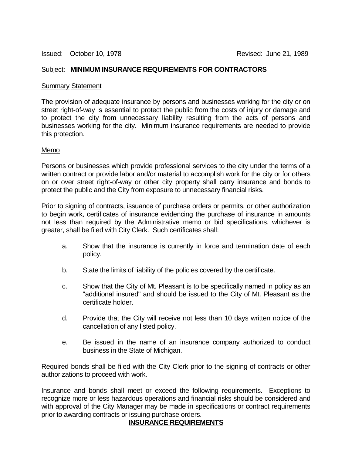#### Subject: **MINIMUM INSURANCE REQUIREMENTS FOR CONTRACTORS**

#### Summary Statement

The provision of adequate insurance by persons and businesses working for the city or on street right-of-way is essential to protect the public from the costs of injury or damage and to protect the city from unnecessary liability resulting from the acts of persons and businesses working for the city. Minimum insurance requirements are needed to provide this protection.

#### Memo

Persons or businesses which provide professional services to the city under the terms of a written contract or provide labor and/or material to accomplish work for the city or for others on or over street right-of-way or other city property shall carry insurance and bonds to protect the public and the City from exposure to unnecessary financial risks.

Prior to signing of contracts, issuance of purchase orders or permits, or other authorization to begin work, certificates of insurance evidencing the purchase of insurance in amounts not less than required by the Administrative memo or bid specifications, whichever is greater, shall be filed with City Clerk. Such certificates shall:

- a. Show that the insurance is currently in force and termination date of each policy.
- b. State the limits of liability of the policies covered by the certificate.
- c. Show that the City of Mt. Pleasant is to be specifically named in policy as an "additional insured" and should be issued to the City of Mt. Pleasant as the certificate holder.
- d. Provide that the City will receive not less than 10 days written notice of the cancellation of any listed policy.
- e. Be issued in the name of an insurance company authorized to conduct business in the State of Michigan.

Required bonds shall be filed with the City Clerk prior to the signing of contracts or other authorizations to proceed with work.

Insurance and bonds shall meet or exceed the following requirements. Exceptions to recognize more or less hazardous operations and financial risks should be considered and with approval of the City Manager may be made in specifications or contract requirements prior to awarding contracts or issuing purchase orders.

#### **INSURANCE REQUIREMENTS**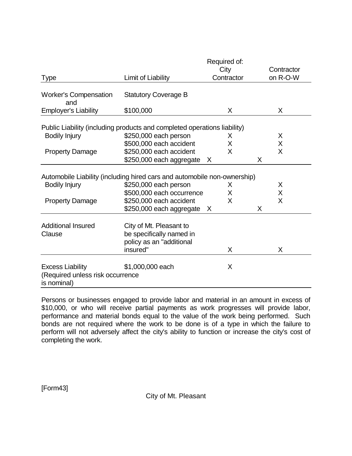|                                                                            |                                                                                 | Required of: |            |
|----------------------------------------------------------------------------|---------------------------------------------------------------------------------|--------------|------------|
|                                                                            |                                                                                 | City         | Contractor |
| <b>Type</b>                                                                | Limit of Liability                                                              | Contractor   | on R-O-W   |
| <b>Worker's Compensation</b><br>and                                        | <b>Statutory Coverage B</b>                                                     |              |            |
| <b>Employer's Liability</b>                                                | \$100,000                                                                       | X            | X          |
|                                                                            | Public Liability (including products and completed operations liability)        |              |            |
| <b>Bodily Injury</b>                                                       | \$250,000 each person                                                           | X            | X          |
|                                                                            | \$500,000 each accident                                                         | X            | X          |
| <b>Property Damage</b>                                                     | \$250,000 each accident                                                         | X            | X          |
|                                                                            | \$250,000 each aggregate                                                        | X            | X          |
|                                                                            |                                                                                 |              |            |
|                                                                            | Automobile Liability (including hired cars and automobile non-ownership)        |              |            |
| Bodily Injury                                                              | \$250,000 each person                                                           | X            | Χ          |
|                                                                            | \$500,000 each occurrence                                                       | X            | X          |
| <b>Property Damage</b>                                                     | \$250,000 each accident                                                         | X            | X          |
|                                                                            | \$250,000 each aggregate X                                                      |              | X          |
| <b>Additional Insured</b><br>Clause                                        | City of Mt. Pleasant to<br>be specifically named in<br>policy as an "additional |              |            |
|                                                                            | insured"                                                                        | X            | X          |
| <b>Excess Liability</b><br>(Required unless risk occurrence<br>is nominal) | \$1,000,000 each                                                                | X            |            |

Persons or businesses engaged to provide labor and material in an amount in excess of \$10,000, or who will receive partial payments as work progresses will provide labor, performance and material bonds equal to the value of the work being performed. Such bonds are not required where the work to be done is of a type in which the failure to perform will not adversely affect the city's ability to function or increase the city's cost of completing the work.

[Form43]

City of Mt. Pleasant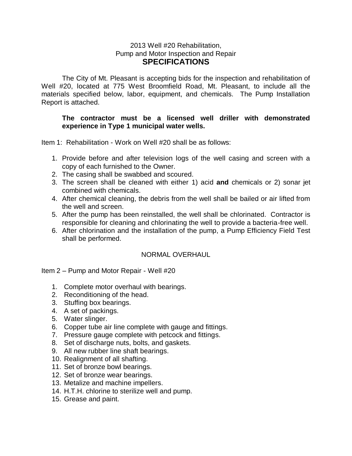#### 2013 Well #20 Rehabilitation, Pump and Motor Inspection and Repair **SPECIFICATIONS**

The City of Mt. Pleasant is accepting bids for the inspection and rehabilitation of Well #20, located at 775 West Broomfield Road, Mt. Pleasant, to include all the materials specified below, labor, equipment, and chemicals. The Pump Installation Report is attached.

#### **The contractor must be a licensed well driller with demonstrated experience in Type 1 municipal water wells.**

Item 1: Rehabilitation - Work on Well #20 shall be as follows:

- 1. Provide before and after television logs of the well casing and screen with a copy of each furnished to the Owner.
- 2. The casing shall be swabbed and scoured.
- 3. The screen shall be cleaned with either 1) acid **and** chemicals or 2) sonar jet combined with chemicals.
- 4. After chemical cleaning, the debris from the well shall be bailed or air lifted from the well and screen.
- 5. After the pump has been reinstalled, the well shall be chlorinated. Contractor is responsible for cleaning and chlorinating the well to provide a bacteria-free well.
- 6. After chlorination and the installation of the pump, a Pump Efficiency Field Test shall be performed.

#### NORMAL OVERHAUL

Item 2 – Pump and Motor Repair - Well #20

- 1. Complete motor overhaul with bearings.
- 2. Reconditioning of the head.
- 3. Stuffing box bearings.
- 4. A set of packings.
- 5. Water slinger.
- 6. Copper tube air line complete with gauge and fittings.
- 7. Pressure gauge complete with petcock and fittings.
- 8. Set of discharge nuts, bolts, and gaskets.
- 9. All new rubber line shaft bearings.
- 10. Realignment of all shafting.
- 11. Set of bronze bowl bearings.
- 12. Set of bronze wear bearings.
- 13. Metalize and machine impellers.
- 14. H.T.H. chlorine to sterilize well and pump.
- 15. Grease and paint.